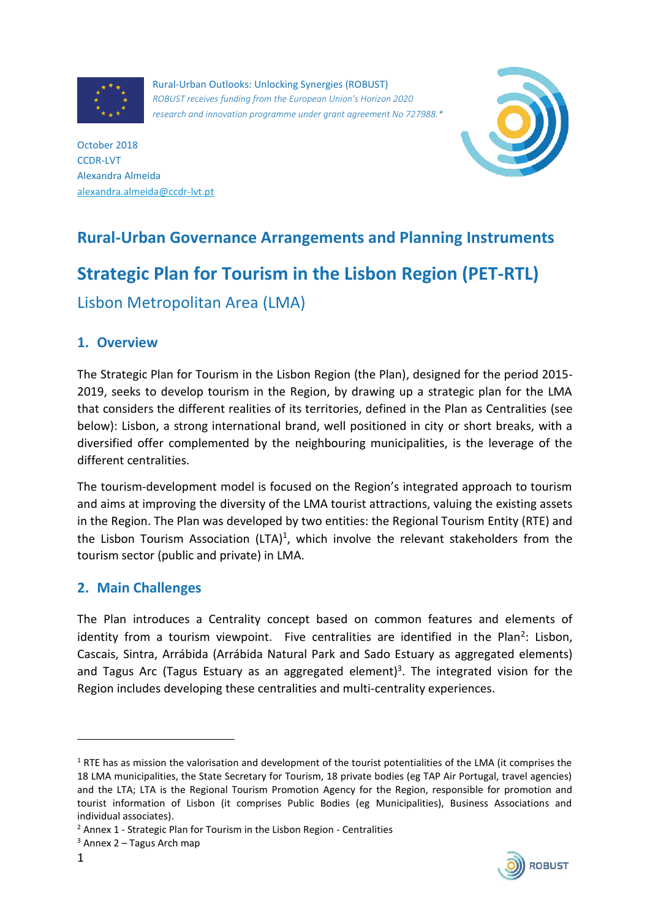

Rural-Urban Outlooks: Unlocking Synergies (ROBUST) *ROBUST receives funding from the European Union's Horizon 2020 research and innovation programme under grant agreement No 727988.\**



October 2018 CCDR-LVT Alexandra Almeida [alexandra.almeida@ccdr-lvt.pt](mailto:alexandra.almeida@ccdr-lvt.pt)

## **Rural-Urban Governance Arrangements and Planning Instruments**

# **Strategic Plan for Tourism in the Lisbon Region (PET-RTL)**

Lisbon Metropolitan Area (LMA)

## **1. Overview**

The Strategic Plan for Tourism in the Lisbon Region (the Plan), designed for the period 2015- 2019, seeks to develop tourism in the Region, by drawing up a strategic plan for the LMA that considers the different realities of its territories, defined in the Plan as Centralities (see below): Lisbon, a strong international brand, well positioned in city or short breaks, with a diversified offer complemented by the neighbouring municipalities, is the leverage of the different centralities.

The tourism-development model is focused on the Region's integrated approach to tourism and aims at improving the diversity of the LMA tourist attractions, valuing the existing assets in the Region. The Plan was developed by two entities: the Regional Tourism Entity (RTE) and the Lisbon Tourism Association (LTA)<sup>1</sup>, which involve the relevant stakeholders from the tourism sector (public and private) in LMA.

## **2. Main Challenges**

The Plan introduces a Centrality concept based on common features and elements of identity from a tourism viewpoint. Five centralities are identified in the Plan<sup>2</sup>: Lisbon, Cascais, Sintra, Arrábida (Arrábida Natural Park and Sado Estuary as aggregated elements) and Tagus Arc (Tagus Estuary as an aggregated element)<sup>3</sup>. The integrated vision for the Region includes developing these centralities and multi-centrality experiences.



**.** 

 $1$  RTE has as mission the valorisation and development of the tourist potentialities of the LMA (it comprises the 18 LMA municipalities, the State Secretary for Tourism, 18 private bodies (eg TAP Air Portugal, travel agencies) and the LTA; LTA is the Regional Tourism Promotion Agency for the Region, responsible for promotion and tourist information of Lisbon (it comprises Public Bodies (eg Municipalities), Business Associations and individual associates).

<sup>2</sup> Annex 1 - Strategic Plan for Tourism in the Lisbon Region - Centralities

 $3$  Annex 2 – Tagus Arch map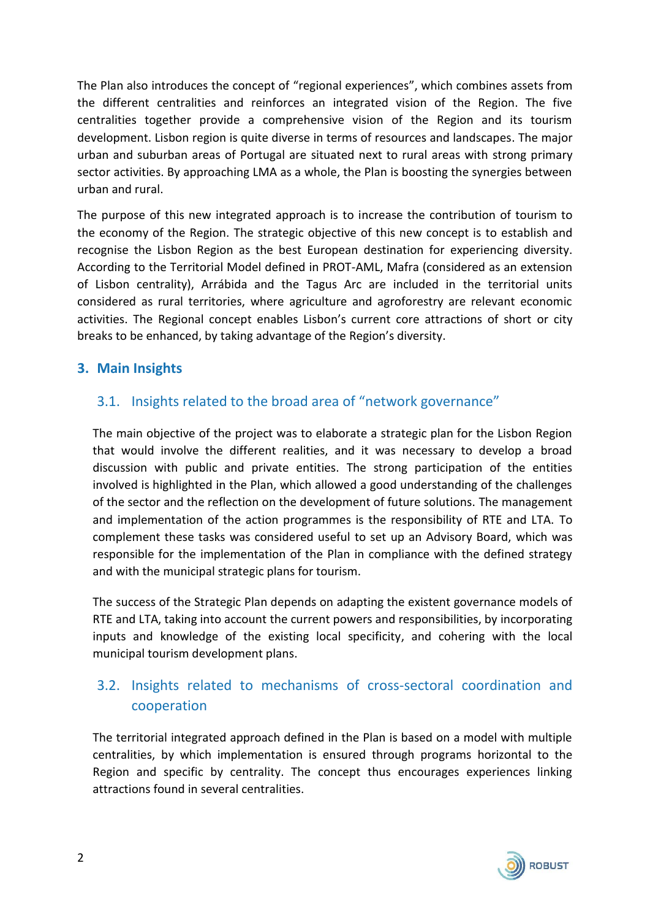The Plan also introduces the concept of "regional experiences", which combines assets from the different centralities and reinforces an integrated vision of the Region. The five centralities together provide a comprehensive vision of the Region and its tourism development. Lisbon region is quite diverse in terms of resources and landscapes. The major urban and suburban areas of Portugal are situated next to rural areas with strong primary sector activities. By approaching LMA as a whole, the Plan is boosting the synergies between urban and rural.

The purpose of this new integrated approach is to increase the contribution of tourism to the economy of the Region. The strategic objective of this new concept is to establish and recognise the Lisbon Region as the best European destination for experiencing diversity. According to the Territorial Model defined in PROT-AML, Mafra (considered as an extension of Lisbon centrality), Arrábida and the Tagus Arc are included in the territorial units considered as rural territories, where agriculture and agroforestry are relevant economic activities. The Regional concept enables Lisbon's current core attractions of short or city breaks to be enhanced, by taking advantage of the Region's diversity.

#### **3. Main Insights**

## 3.1. Insights related to the broad area of "network governance"

The main objective of the project was to elaborate a strategic plan for the Lisbon Region that would involve the different realities, and it was necessary to develop a broad discussion with public and private entities. The strong participation of the entities involved is highlighted in the Plan, which allowed a good understanding of the challenges of the sector and the reflection on the development of future solutions. The management and implementation of the action programmes is the responsibility of RTE and LTA. To complement these tasks was considered useful to set up an Advisory Board, which was responsible for the implementation of the Plan in compliance with the defined strategy and with the municipal strategic plans for tourism.

The success of the Strategic Plan depends on adapting the existent governance models of RTE and LTA, taking into account the current powers and responsibilities, by incorporating inputs and knowledge of the existing local specificity, and cohering with the local municipal tourism development plans.

## 3.2. Insights related to mechanisms of cross-sectoral coordination and cooperation

The territorial integrated approach defined in the Plan is based on a model with multiple centralities, by which implementation is ensured through programs horizontal to the Region and specific by centrality. The concept thus encourages experiences linking attractions found in several centralities.

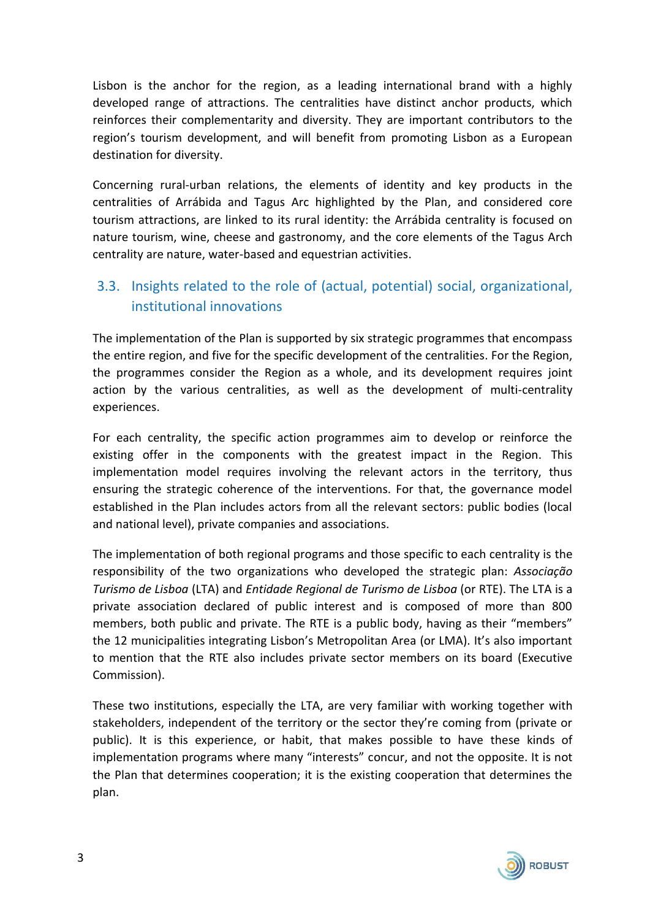Lisbon is the anchor for the region, as a leading international brand with a highly developed range of attractions. The centralities have distinct anchor products, which reinforces their complementarity and diversity. They are important contributors to the region's tourism development, and will benefit from promoting Lisbon as a European destination for diversity.

Concerning rural-urban relations, the elements of identity and key products in the centralities of Arrábida and Tagus Arc highlighted by the Plan, and considered core tourism attractions, are linked to its rural identity: the Arrábida centrality is focused on nature tourism, wine, cheese and gastronomy, and the core elements of the Tagus Arch centrality are nature, water-based and equestrian activities.

## 3.3. Insights related to the role of (actual, potential) social, organizational, institutional innovations

The implementation of the Plan is supported by six strategic programmes that encompass the entire region, and five for the specific development of the centralities. For the Region, the programmes consider the Region as a whole, and its development requires joint action by the various centralities, as well as the development of multi-centrality experiences.

For each centrality, the specific action programmes aim to develop or reinforce the existing offer in the components with the greatest impact in the Region. This implementation model requires involving the relevant actors in the territory, thus ensuring the strategic coherence of the interventions. For that, the governance model established in the Plan includes actors from all the relevant sectors: public bodies (local and national level), private companies and associations.

The implementation of both regional programs and those specific to each centrality is the responsibility of the two organizations who developed the strategic plan: *Associação Turismo de Lisboa* (LTA) and *Entidade Regional de Turismo de Lisboa* (or RTE). The LTA is a private association declared of public interest and is composed of more than 800 members, both public and private. The RTE is a public body, having as their "members" the 12 municipalities integrating Lisbon's Metropolitan Area (or LMA). It's also important to mention that the RTE also includes private sector members on its board (Executive Commission).

These two institutions, especially the LTA, are very familiar with working together with stakeholders, independent of the territory or the sector they're coming from (private or public). It is this experience, or habit, that makes possible to have these kinds of implementation programs where many "interests" concur, and not the opposite. It is not the Plan that determines cooperation; it is the existing cooperation that determines the plan.

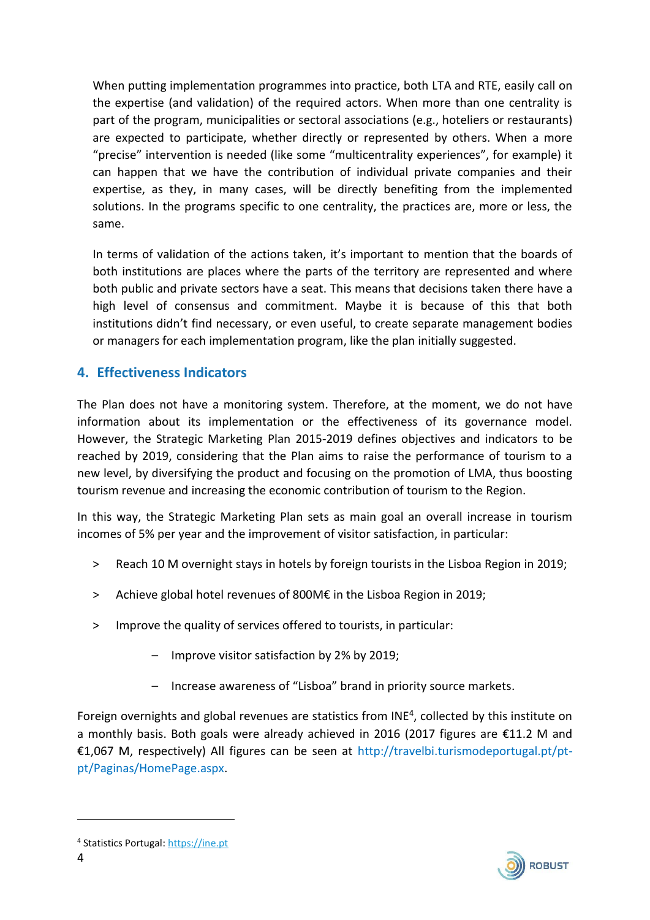When putting implementation programmes into practice, both LTA and RTE, easily call on the expertise (and validation) of the required actors. When more than one centrality is part of the program, municipalities or sectoral associations (e.g., hoteliers or restaurants) are expected to participate, whether directly or represented by others. When a more "precise" intervention is needed (like some "multicentrality experiences", for example) it can happen that we have the contribution of individual private companies and their expertise, as they, in many cases, will be directly benefiting from the implemented solutions. In the programs specific to one centrality, the practices are, more or less, the same.

In terms of validation of the actions taken, it's important to mention that the boards of both institutions are places where the parts of the territory are represented and where both public and private sectors have a seat. This means that decisions taken there have a high level of consensus and commitment. Maybe it is because of this that both institutions didn't find necessary, or even useful, to create separate management bodies or managers for each implementation program, like the plan initially suggested.

## **4. Effectiveness Indicators**

The Plan does not have a monitoring system. Therefore, at the moment, we do not have information about its implementation or the effectiveness of its governance model. However, the Strategic Marketing Plan 2015-2019 defines objectives and indicators to be reached by 2019, considering that the Plan aims to raise the performance of tourism to a new level, by diversifying the product and focusing on the promotion of LMA, thus boosting tourism revenue and increasing the economic contribution of tourism to the Region.

In this way, the Strategic Marketing Plan sets as main goal an overall increase in tourism incomes of 5% per year and the improvement of visitor satisfaction, in particular:

- > Reach 10 M overnight stays in hotels by foreign tourists in the Lisboa Region in 2019;
- ˃ Achieve global hotel revenues of 800M€ in the Lisboa Region in 2019;
- ˃ Improve the quality of services offered to tourists, in particular:
	- Improve visitor satisfaction by 2% by 2019;
	- Increase awareness of "Lisboa" brand in priority source markets.

Foreign overnights and global revenues are statistics from INE<sup>4</sup>, collected by this institute on a monthly basis. Both goals were already achieved in 2016 (2017 figures are €11.2 M and €1,067 M, respectively) All figures can be seen at [http://travelbi.turismodeportugal.pt/pt](http://travelbi.turismodeportugal.pt/pt-pt/Paginas/HomePage.aspx)[pt/Paginas/HomePage.aspx.](http://travelbi.turismodeportugal.pt/pt-pt/Paginas/HomePage.aspx)



**.** 

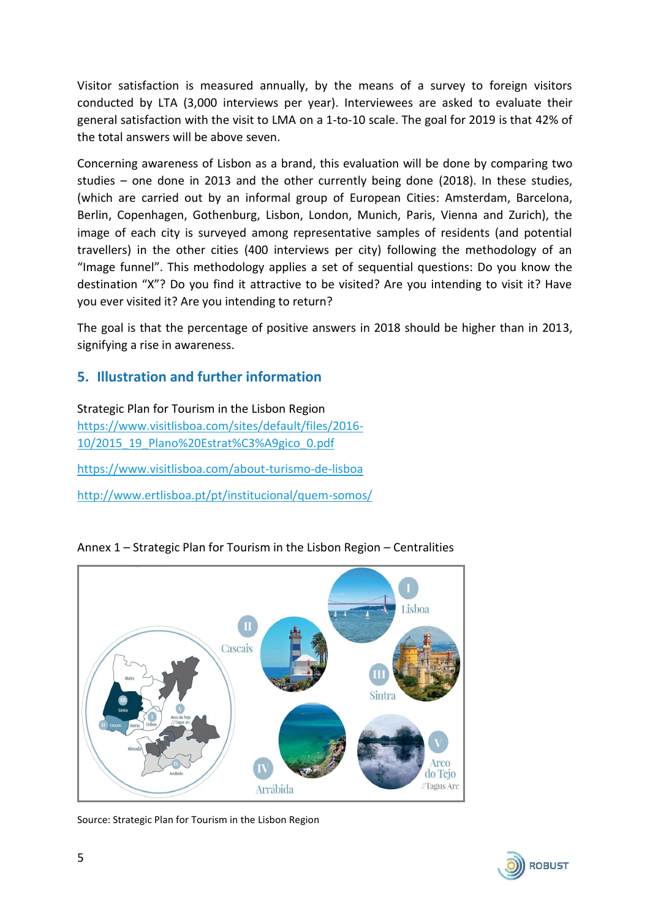Visitor satisfaction is measured annually, by the means of a survey to foreign visitors conducted by LTA (3,000 interviews per year). Interviewees are asked to evaluate their general satisfaction with the visit to LMA on a 1-to-10 scale. The goal for 2019 is that 42% of the total answers will be above seven.

Concerning awareness of Lisbon as a brand, this evaluation will be done by comparing two studies – one done in 2013 and the other currently being done (2018). In these studies, (which are carried out by an informal group of European Cities: Amsterdam, Barcelona, Berlin, Copenhagen, Gothenburg, Lisbon, London, Munich, Paris, Vienna and Zurich), the image of each city is surveyed among representative samples of residents (and potential travellers) in the other cities (400 interviews per city) following the methodology of an "Image funnel". This methodology applies a set of sequential questions: Do you know the destination "X"? Do you find it attractive to be visited? Are you intending to visit it? Have you ever visited it? Are you intending to return?

The goal is that the percentage of positive answers in 2018 should be higher than in 2013, signifying a rise in awareness.

#### **5. Illustration and further information**

Strategic Plan for Tourism in the Lisbon Region [https://www.visitlisboa.com/sites/default/files/2016-](https://www.visitlisboa.com/sites/default/files/2016-10/2015_19_Plano%20Estrat%C3%A9gico_0.pdf) [10/2015\\_19\\_Plano%20Estrat%C3%A9gico\\_0.pdf](https://www.visitlisboa.com/sites/default/files/2016-10/2015_19_Plano%20Estrat%C3%A9gico_0.pdf) <https://www.visitlisboa.com/about-turismo-de-lisboa> <http://www.ertlisboa.pt/pt/institucional/quem-somos/>



Annex 1 – Strategic Plan for Tourism in the Lisbon Region – Centralities

Source: Strategic Plan for Tourism in the Lisbon Region